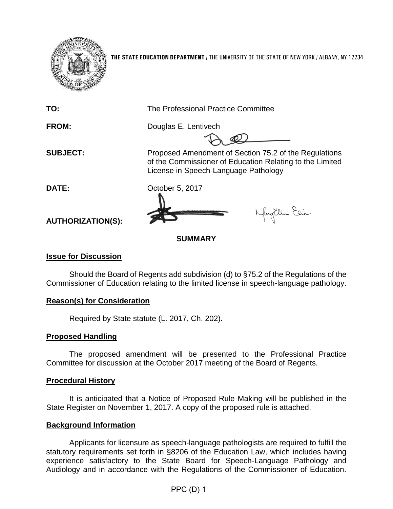

**THE STATE EDUCATION DEPARTMENT** / THE UNIVERSITY OF THE STATE OF NEW YORK / ALBANY, NY 12234

**TO:** The Professional Practice Committee **FROM:** Douglas E. Lentivech **SUBJECT:** Proposed Amendment of Section 75.2 of the Regulations of the Commissioner of Education Relating to the Limited License in Speech-Language Pathology **DATE:** October 5, 2017 Naytlem Elia **AUTHORIZATION(S): SUMMARY**

# **Issue for Discussion**

Should the Board of Regents add subdivision (d) to §75.2 of the Regulations of the Commissioner of Education relating to the limited license in speech-language pathology.

# **Reason(s) for Consideration**

Required by State statute (L. 2017, Ch. 202).

### **Proposed Handling**

The proposed amendment will be presented to the Professional Practice Committee for discussion at the October 2017 meeting of the Board of Regents.

### **Procedural History**

It is anticipated that a Notice of Proposed Rule Making will be published in the State Register on November 1, 2017. A copy of the proposed rule is attached.

### **Background Information**

Applicants for licensure as speech-language pathologists are required to fulfill the statutory requirements set forth in §8206 of the Education Law, which includes having experience satisfactory to the State Board for Speech-Language Pathology and Audiology and in accordance with the Regulations of the Commissioner of Education.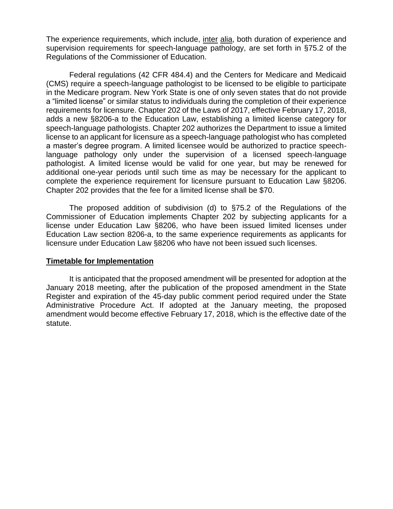The experience requirements, which include, inter alia, both duration of experience and supervision requirements for speech-language pathology, are set forth in §75.2 of the Regulations of the Commissioner of Education.

Federal regulations (42 CFR 484.4) and the Centers for Medicare and Medicaid (CMS) require a speech-language pathologist to be licensed to be eligible to participate in the Medicare program. New York State is one of only seven states that do not provide a "limited license" or similar status to individuals during the completion of their experience requirements for licensure. Chapter 202 of the Laws of 2017, effective February 17, 2018, adds a new §8206-a to the Education Law, establishing a limited license category for speech-language pathologists. Chapter 202 authorizes the Department to issue a limited license to an applicant for licensure as a speech-language pathologist who has completed a master's degree program. A limited licensee would be authorized to practice speechlanguage pathology only under the supervision of a licensed speech-language pathologist. A limited license would be valid for one year, but may be renewed for additional one-year periods until such time as may be necessary for the applicant to complete the experience requirement for licensure pursuant to Education Law §8206. Chapter 202 provides that the fee for a limited license shall be \$70.

The proposed addition of subdivision (d) to §75.2 of the Regulations of the Commissioner of Education implements Chapter 202 by subjecting applicants for a license under Education Law §8206, who have been issued limited licenses under Education Law section 8206-a, to the same experience requirements as applicants for licensure under Education Law §8206 who have not been issued such licenses.

### **Timetable for Implementation**

It is anticipated that the proposed amendment will be presented for adoption at the January 2018 meeting, after the publication of the proposed amendment in the State Register and expiration of the 45-day public comment period required under the State Administrative Procedure Act. If adopted at the January meeting, the proposed amendment would become effective February 17, 2018, which is the effective date of the statute.